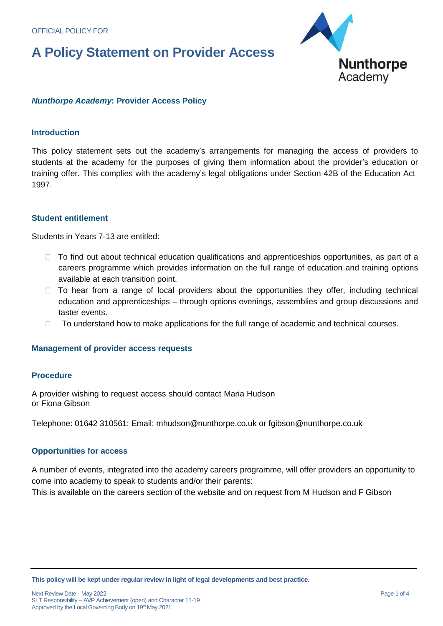

## *Nunthorpe Academy***: Provider Access Policy**

#### **Introduction**

This policy statement sets out the academy's arrangements for managing the access of providers to students at the academy for the purposes of giving them information about the provider's education or training offer. This complies with the academy's legal obligations under Section 42B of the Education Act 1997.

#### **Student entitlement**

Students in Years 7-13 are entitled:

- $\Box$  To find out about technical education qualifications and apprenticeships opportunities, as part of a careers programme which provides information on the full range of education and training options available at each transition point.
- $\Box$  To hear from a range of local providers about the opportunities they offer, including technical education and apprenticeships – through options evenings, assemblies and group discussions and taster events.
- $\Box$  To understand how to make applications for the full range of academic and technical courses.

#### **Management of provider access requests**

#### **Procedure**

A provider wishing to request access should contact Maria Hudson or Fiona Gibson

Telephone: 01642 310561; Email: [mhudson@nunthorpe.co.uk](mailto:mhudson@nunthorpe.co.uk) or fgibson@nunthorpe.co.uk

#### **Opportunities for access**

A number of events, integrated into the academy careers programme, will offer providers an opportunity to come into academy to speak to students and/or their parents:

This is available on the careers section of the website and on request from M Hudson and F Gibson

**This policy will be kept under regular review in light of legal developments and best practice.**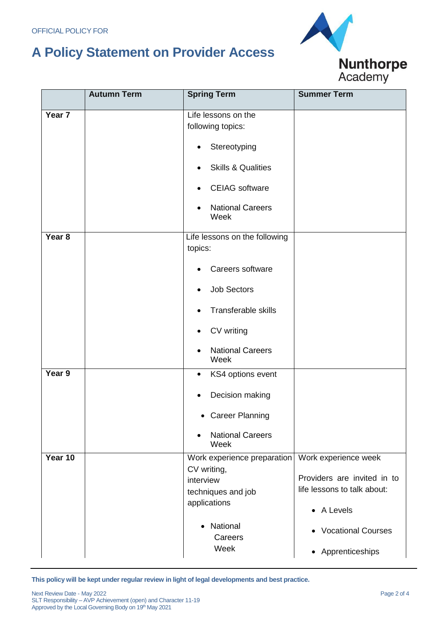

|                   | <b>Autumn Term</b> | <b>Spring Term</b>                           | <b>Summer Term</b>                                         |
|-------------------|--------------------|----------------------------------------------|------------------------------------------------------------|
| Year <sub>7</sub> |                    | Life lessons on the<br>following topics:     |                                                            |
|                   |                    | Stereotyping                                 |                                                            |
|                   |                    | <b>Skills &amp; Qualities</b><br>$\bullet$   |                                                            |
|                   |                    | <b>CEIAG</b> software                        |                                                            |
|                   |                    | <b>National Careers</b><br>$\bullet$<br>Week |                                                            |
| Year 8            |                    | Life lessons on the following<br>topics:     |                                                            |
|                   |                    | Careers software                             |                                                            |
|                   |                    | <b>Job Sectors</b><br>٠                      |                                                            |
|                   |                    | <b>Transferable skills</b><br>$\bullet$      |                                                            |
|                   |                    | CV writing<br>$\bullet$                      |                                                            |
|                   |                    | <b>National Careers</b><br>$\bullet$<br>Week |                                                            |
| Year 9            |                    | KS4 options event<br>$\bullet$               |                                                            |
|                   |                    | Decision making<br>٠                         |                                                            |
|                   |                    | <b>Career Planning</b><br>$\bullet$          |                                                            |
|                   |                    | <b>National Careers</b><br>Week              |                                                            |
| Year 10           |                    | Work experience preparation<br>CV writing,   | Work experience week                                       |
|                   |                    | interview<br>techniques and job              | Providers are invited in to<br>life lessons to talk about: |
|                   |                    | applications                                 | • A Levels                                                 |
|                   |                    | National<br>$\bullet$<br>Careers<br>Week     | • Vocational Courses                                       |
|                   |                    |                                              | • Apprenticeships                                          |

**This policy will be kept under regular review in light of legal developments and best practice.**

University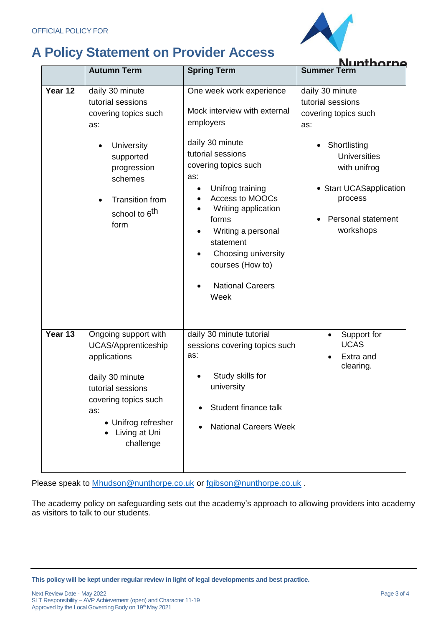

 $\blacksquare$ 

|         | <b>Autumn Term</b>                                                                                                                                                                                   | <b>Spring Term</b>                                                                                                                                                                                                                                                                                                                   | <u>Nijnthorne</u><br><b>Summer Term</b>                                                                                                                                                                          |
|---------|------------------------------------------------------------------------------------------------------------------------------------------------------------------------------------------------------|--------------------------------------------------------------------------------------------------------------------------------------------------------------------------------------------------------------------------------------------------------------------------------------------------------------------------------------|------------------------------------------------------------------------------------------------------------------------------------------------------------------------------------------------------------------|
|         |                                                                                                                                                                                                      |                                                                                                                                                                                                                                                                                                                                      |                                                                                                                                                                                                                  |
| Year 12 | daily 30 minute<br>tutorial sessions<br>covering topics such<br>as:<br>University<br>$\bullet$<br>supported<br>progression<br>schemes<br><b>Transition from</b><br>school to 6 <sup>th</sup><br>form | One week work experience<br>Mock interview with external<br>employers<br>daily 30 minute<br>tutorial sessions<br>covering topics such<br>as:<br>Unifrog training<br>Access to MOOCs<br>Writing application<br>forms<br>Writing a personal<br>statement<br>Choosing university<br>courses (How to)<br><b>National Careers</b><br>Week | daily 30 minute<br>tutorial sessions<br>covering topics such<br>as:<br>Shortlisting<br>$\bullet$<br><b>Universities</b><br>with unifrog<br>• Start UCASapplication<br>process<br>Personal statement<br>workshops |
| Year 13 | Ongoing support with<br><b>UCAS/Apprenticeship</b><br>applications<br>daily 30 minute<br>tutorial sessions<br>covering topics such<br>as:<br>• Unifrog refresher<br>Living at Uni<br>challenge       | daily 30 minute tutorial<br>sessions covering topics such<br>as:<br>Study skills for<br>university<br>Student finance talk<br><b>National Careers Week</b><br>$\bullet$                                                                                                                                                              | Support for<br><b>UCAS</b><br>Extra and<br>clearing.                                                                                                                                                             |

Please speak to [Mhudson@nunthorpe.co.uk](mailto:Mhudson@nunthorpe.co.uk) or [fgibson@nunthorpe.co.uk](mailto:fgibson@nunthorpe.co.uk).

The academy policy on safeguarding sets out the academy's approach to allowing providers into academy as visitors to talk to our students.

**This policy will be kept under regular review in light of legal developments and best practice.**